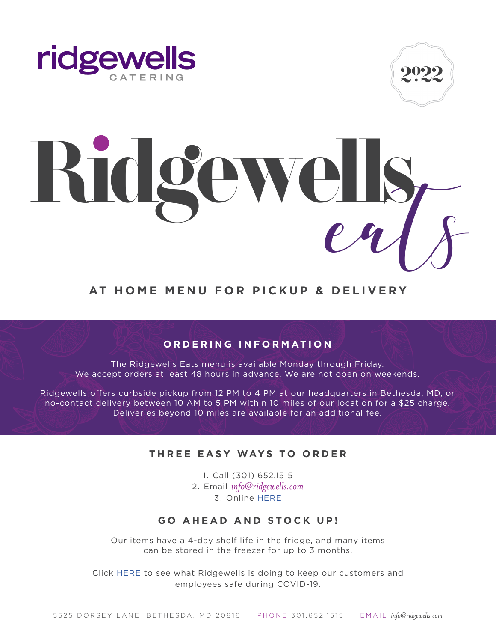



# Ridgewells

# **AT HOME MENU FOR PICKUP & DELIVERY**

# **ORDERING INFORMATION**

The Ridgewells Eats menu is available Monday through Friday. We accept orders at least 48 hours in advance. We are not open on weekends.

Ridgewells offers curbside pickup from 12 PM to 4 PM at our headquarters in Bethesda, MD, or no-contact delivery between 10 AM to 5 PM within 10 miles of our location for a \$25 charge. Deliveries beyond 10 miles are available for an additional fee.

### **THREE EASY WAYS TO ORDER**

1. Call (301) 652.1515 2. Email *info@ridgewells.com*  3. Online [HERE](https://gotab.io/loc/ridgewellscatering)

## **GO AHEAD AND STOCK UP!**

Our items have a 4-day shelf life in the fridge, and many items can be stored in the freezer for up to 3 months.

Click [HERE](http://www.ridgewells.com/wp-content/uploads/2020/06/COVID-Company-Statement-Updated-6.16.pdf) to see what Ridgewells is doing to keep our customers and employees safe during COVID-19.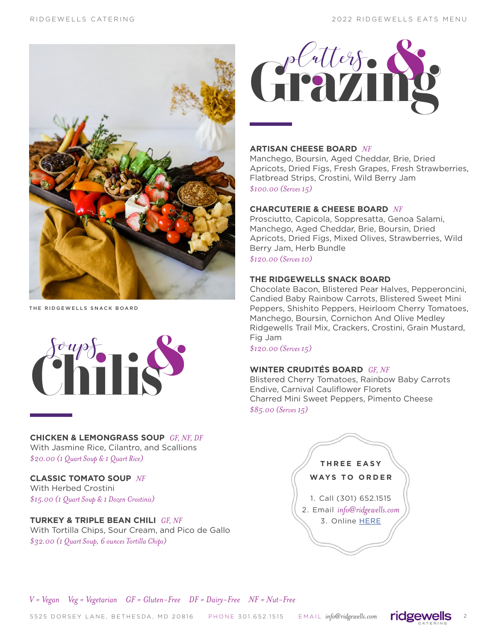

THE RIDGEWELLS SNACK BOARD



**CHICKEN & LEMONGRASS SOUP** *GF, NF, DF* With Jasmine Rice, Cilantro, and Scallions *\$20.00 (1 Quart Soup & 1 Quart Rice)*

**CLASSIC TOMATO SOUP** *NF* With Herbed Crostini *\$15.00 (1 Quart Soup & 1 Dozen Crostinis)*

### **TURKEY & TRIPLE BEAN CHILI** *GF, NF* With Tortilla Chips, Sour Cream, and Pico de Gallo *\$32.00 (1 Quart Soup, 6 ounces Tortilla Chips)*



### **ARTISAN CHEESE BOARD** *NF*

Manchego, Boursin, Aged Cheddar, Brie, Dried Apricots, Dried Figs, Fresh Grapes, Fresh Strawberries, Flatbread Strips, Crostini, Wild Berry Jam *\$100.00 (Serves 15)*

### **CHARCUTERIE & CHEESE BOARD** *NF*

Prosciutto, Capicola, Soppresatta, Genoa Salami, Manchego, Aged Cheddar, Brie, Boursin, Dried Apricots, Dried Figs, Mixed Olives, Strawberries, Wild Berry Jam, Herb Bundle

*\$120.00 (Serves 10)*

### **THE RIDGEWELLS SNACK BOARD**

Chocolate Bacon, Blistered Pear Halves, Pepperoncini, Candied Baby Rainbow Carrots, Blistered Sweet Mini Peppers, Shishito Peppers, Heirloom Cherry Tomatoes, Manchego, Boursin, Cornichon And Olive Medley Ridgewells Trail Mix, Crackers, Crostini, Grain Mustard, Fig Jam

*\$120.00 (Serves 15)*

### **WINTER CRUDITÉS BOARD** *GF, NF*

Blistered Cherry Tomatoes, Rainbow Baby Carrots Endive, Carnival Cauliflower Florets Charred Mini Sweet Peppers, Pimento Cheese *\$85.00 (Serves 15)*



*V = Vegan Veg = Vegetarian GF = Gluten-Free DF = Dairy-Free NF = Nut-Free*

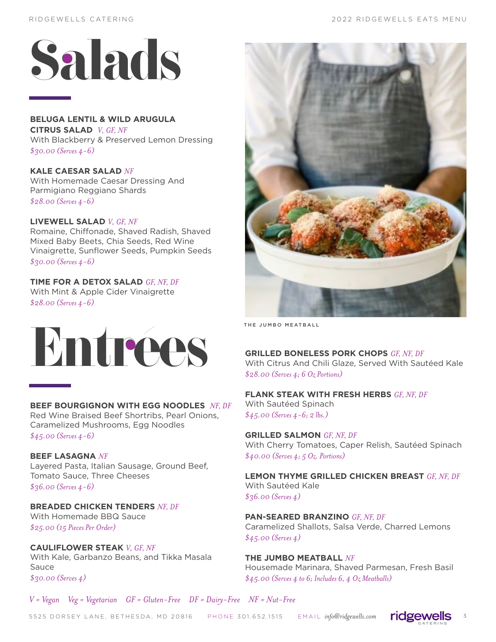

**BELUGA LENTIL & WILD ARUGULA CITRUS SALAD** *V, GF, NF* With Blackberry & Preserved Lemon Dressing *\$30.00 (Serves 4-6)*

**KALE CAESAR SALAD** *NF* With Homemade Caesar Dressing And Parmigiano Reggiano Shards *\$28.00 (Serves 4-6)*

### **LIVEWELL SALAD** *V, GF, NF* Romaine, Chiffonade, Shaved Radish, Shaved Mixed Baby Beets, Chia Seeds, Red Wine Vinaigrette, Sunflower Seeds, Pumpkin Seeds

*\$30.00 (Serves 4-6)*

# **TIME FOR A DETOX SALAD** *GF, NF, DF*

With Mint & Apple Cider Vinaigrette *\$28.00 (Serves 4-6)*



### **BEEF BOURGIGNON WITH EGG NOODLES** *NF, DF*

Red Wine Braised Beef Shortribs, Pearl Onions, Caramelized Mushrooms, Egg Noodles

*\$45.00 (Serves 4-6)*

### **BEEF LASAGNA** *NF*

Layered Pasta, Italian Sausage, Ground Beef, Tomato Sauce, Three Cheeses *\$36.00 (Serves 4-6)*

**BREADED CHICKEN TENDERS** *NF, DF* With Homemade BBQ Sauce *\$25.00 (15 Pieces Per Order)*

**CAULIFLOWER STEAK** *V, GF, NF* With Kale, Garbanzo Beans, and Tikka Masala Sauce *\$30.00 (Serves 4)*



THE JUMBO MEATBALL

**GRILLED BONELESS PORK CHOPS** *GF, NF, DF* With Citrus And Chili Glaze, Served With Sautéed Kale *\$28.00 (Serves 4; 6 Oz Portions)*

**FLANK STEAK WITH FRESH HERBS** *GF, NF, DF* With Sautéed Spinach *\$45.00 (Serves 4-6; 2 lbs.)*

**GRILLED SALMON** *GF, NF, DF* With Cherry Tomatoes, Caper Relish, Sautéed Spinach *\$40.00 (Serves 4; 5 Oz. Portions)*

**LEMON THYME GRILLED CHICKEN BREAST** *GF, NF, DF* With Sautéed Kale *\$36.00 (Serves 4)*

**PAN-SEARED BRANZINO** *GF, NF, DF* Caramelized Shallots, Salsa Verde, Charred Lemons *\$45.00 (Serves 4)*

**THE JUMBO MEATBALL** *NF* Housemade Marinara, Shaved Parmesan, Fresh Basil *\$45.00 (Serves 4 to 6; Includes 6, 4 Oz Meatballs)*

*V = Vegan Veg = Vegetarian GF = Gluten-Free DF = Dairy-Free NF = Nut-Free*